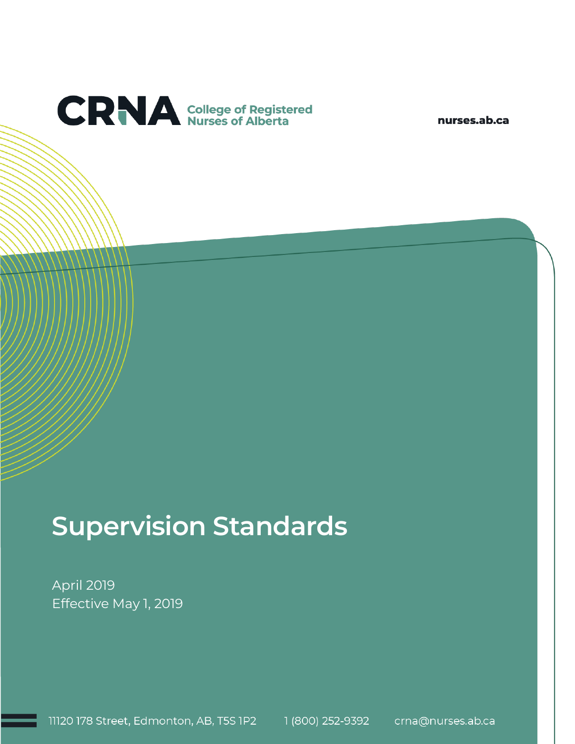

nurses.ab.ca

# **Supervision Standards**

April 2019 Effective May 1, 2019

11120 178 Street, Edmonton, AB, T5S 1P2 1 (800) 252-9392 crna@nurses.ab.ca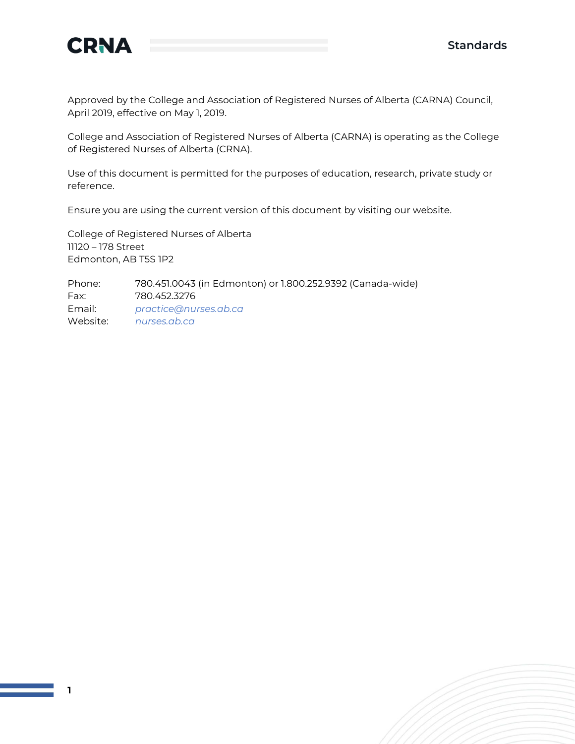

Approved by the College and Association of Registered Nurses of Alberta (CARNA) Council, April 2019, effective on May 1, 2019.

College and Association of Registered Nurses of Alberta (CARNA) is operating as the College of Registered Nurses of Alberta (CRNA).

Use of this document is permitted for the purposes of education, research, private study or reference.

Ensure you are using the current version of this document by visiting our website.

College of Registered Nurses of Alberta 11120 – 178 Street Edmonton, AB T5S 1P2

Phone: 780.451.0043 (in Edmonton) or 1.800.252.9392 (Canada-wide) Fax: 780.452.3276 Email: *[practice@nurses.ab.ca](mailto:practice@nurses.ab.ca)* Website: *[nurses.ab.ca](http://www.nurses.ab.ca/)*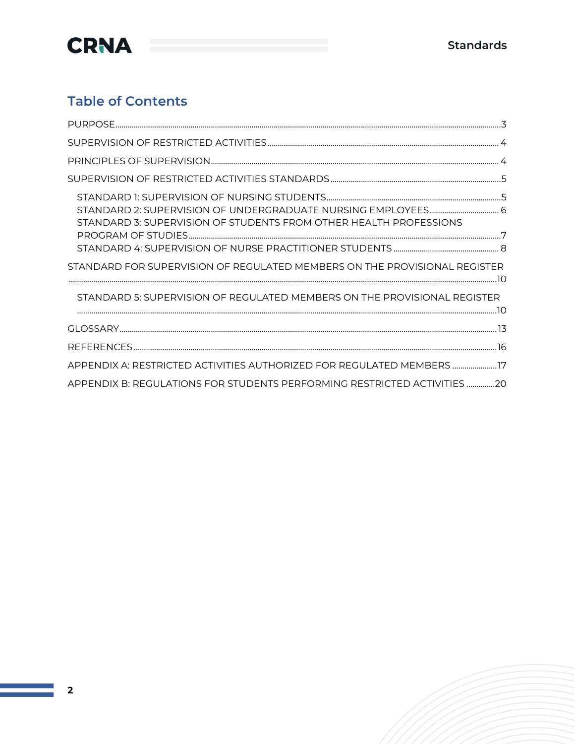

## **Table of Contents**

| STANDARD 2: SUPERVISION OF UNDERGRADUATE NURSING EMPLOYEES 6<br>STANDARD 3: SUPERVISION OF STUDENTS FROM OTHER HEALTH PROFESSIONS |  |
|-----------------------------------------------------------------------------------------------------------------------------------|--|
|                                                                                                                                   |  |
| STANDARD FOR SUPERVISION OF REGULATED MEMBERS ON THE PROVISIONAL REGISTER                                                         |  |
| STANDARD 5: SUPERVISION OF REGULATED MEMBERS ON THE PROVISIONAL REGISTER                                                          |  |
|                                                                                                                                   |  |
|                                                                                                                                   |  |
| APPENDIX A: RESTRICTED ACTIVITIES AUTHORIZED FOR REGULATED MEMBERS  17                                                            |  |
| APPENDIX B: REGULATIONS FOR STUDENTS PERFORMING RESTRICTED ACTIVITIES 20                                                          |  |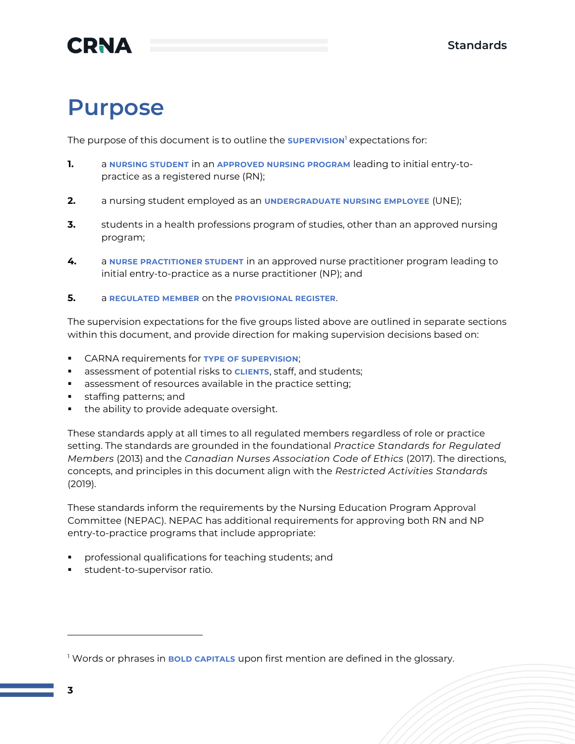# <span id="page-3-0"></span>**Purpose**

The purpose of this document is to outline the **SUPERVISION**<sup>1</sup> expectations for:

- **1.** a **NURSING STUDENT** in an **APPROVED NURSING PROGRAM** leading to initial entry-topractice as a registered nurse (RN);
- **2.** a nursing student employed as an **UNDERGRADUATE NURSING EMPLOYEE** (UNE);
- **3.** students in a health professions program of studies, other than an approved nursing program;
- **4.** a **NURSE PRACTITIONER STUDENT** in an approved nurse practitioner program leading to initial entry-to-practice as a nurse practitioner (NP); and
- **5.** a **REGULATED MEMBER** on the **PROVISIONAL REGISTER**.

The supervision expectations for the five groups listed above are outlined in separate sections within this document, and provide direction for making supervision decisions based on:

- CARNA requirements for **TYPE OF SUPERVISION**;
- **EXP** assessment of potential risks to **CLIENTS**, staff, and students;
- assessment of resources available in the practice setting;
- staffing patterns; and
- the ability to provide adequate oversight.

These standards apply at all times to all regulated members regardless of role or practice setting. The standards are grounded in the foundational *Practice Standards for Regulated Members* (2013) and the *Canadian Nurses Association Code of Ethics* (2017). The directions, concepts, and principles in this document align with the *Restricted Activities Standards* (2019).

These standards inform the requirements by the Nursing Education Program Approval Committee (NEPAC). NEPAC has additional requirements for approving both RN and NP entry-to-practice programs that include appropriate:

- professional qualifications for teaching students; and
- student-to-supervisor ratio.

<sup>1</sup> Words or phrases in **BOLD CAPITALS** upon first mention are defined in the glossary.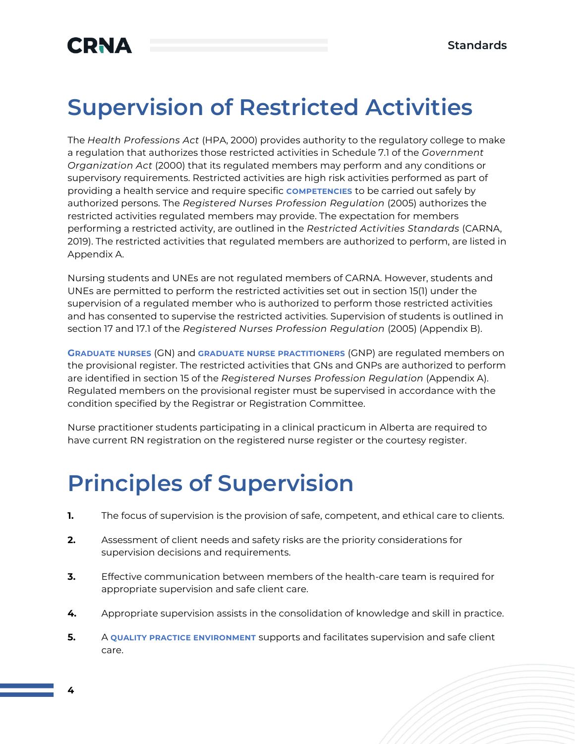# <span id="page-4-0"></span>**Supervision of Restricted Activities**

The *Health Professions Act* (HPA, 2000) provides authority to the regulatory college to make a regulation that authorizes those restricted activities in Schedule 7.1 of the *Government Organization Act* (2000) that its regulated members may perform and any conditions or supervisory requirements. Restricted activities are high risk activities performed as part of providing a health service and require specific **COMPETENCIES** to be carried out safely by authorized persons. The *Registered Nurses Profession Regulation* (2005) authorizes the restricted activities regulated members may provide. The expectation for members performing a restricted activity, are outlined in the *Restricted Activities Standards* (CARNA, 2019). The restricted activities that regulated members are authorized to perform, are listed in Appendix A.

Nursing students and UNEs are not regulated members of CARNA. However, students and UNEs are permitted to perform the restricted activities set out in section 15(1) under the supervision of a regulated member who is authorized to perform those restricted activities and has consented to supervise the restricted activities. Supervision of students is outlined in section 17 and 17.1 of the *Registered Nurses Profession Regulation* (2005) (Appendix B).

**GRADUATE NURSES** (GN) and **GRADUATE NURSE PRACTITIONERS** (GNP) are regulated members on the provisional register. The restricted activities that GNs and GNPs are authorized to perform are identified in section 15 of the *Registered Nurses Profession Regulation* (Appendix A). Regulated members on the provisional register must be supervised in accordance with the condition specified by the Registrar or Registration Committee.

Nurse practitioner students participating in a clinical practicum in Alberta are required to have current RN registration on the registered nurse register or the courtesy register.

# <span id="page-4-1"></span>**Principles of Supervision**

- **1.** The focus of supervision is the provision of safe, competent, and ethical care to clients.
- **2.** Assessment of client needs and safety risks are the priority considerations for supervision decisions and requirements.
- **3.** Effective communication between members of the health-care team is required for appropriate supervision and safe client care.
- **4.** Appropriate supervision assists in the consolidation of knowledge and skill in practice.
- **5.** A QUALITY PRACTICE ENVIRONMENT supports and facilitates supervision and safe client care.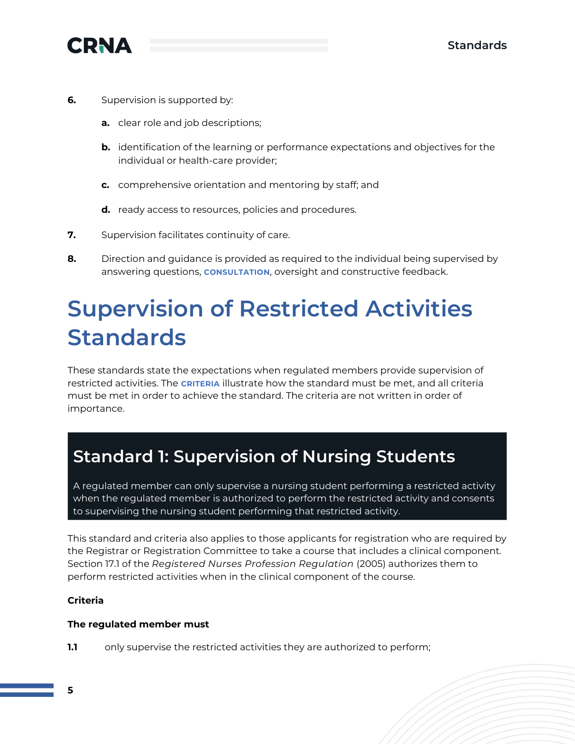

- **6.** Supervision is supported by:
	- **a.** clear role and job descriptions;
	- **b.** identification of the learning or performance expectations and objectives for the individual or health-care provider;
	- **c.** comprehensive orientation and mentoring by staff; and
	- **d.** ready access to resources, policies and procedures.
- **7.** Supervision facilitates continuity of care.
- **8.** Direction and guidance is provided as required to the individual being supervised by answering questions, **CONSULTATION**, oversight and constructive feedback.

# <span id="page-5-0"></span>**Supervision of Restricted Activities Standards**

These standards state the expectations when regulated members provide supervision of restricted activities. The **CRITERIA** illustrate how the standard must be met, and all criteria must be met in order to achieve the standard. The criteria are not written in order of importance.

## <span id="page-5-1"></span>**Standard 1: Supervision of Nursing Students**

A regulated member can only supervise a nursing student performing a restricted activity when the regulated member is authorized to perform the restricted activity and consents to supervising the nursing student performing that restricted activity.

This standard and criteria also applies to those applicants for registration who are required by the Registrar or Registration Committee to take a course that includes a clinical component. Section 17.1 of the *Registered Nurses Profession Regulation* (2005) authorizes them to perform restricted activities when in the clinical component of the course.

## **Criteria**

### **The regulated member must**

**1.1** only supervise the restricted activities they are authorized to perform;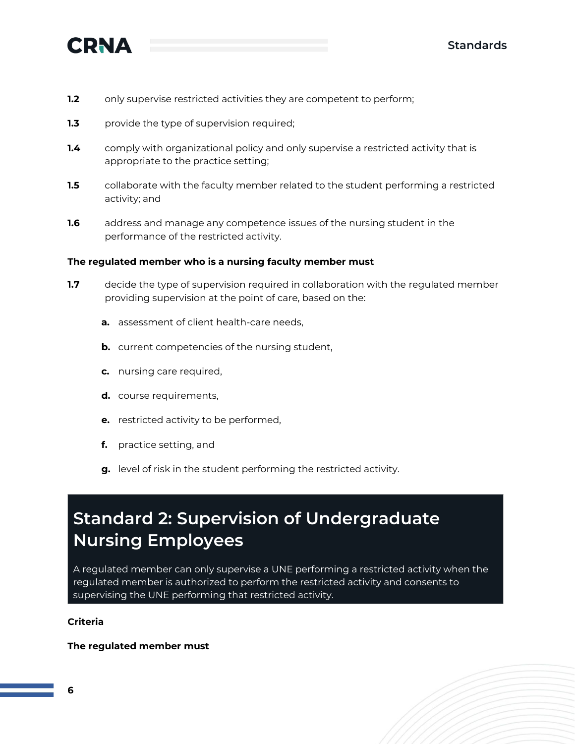

- **1.2** only supervise restricted activities they are competent to perform;
- **1.3** provide the type of supervision required;
- **1.4** comply with organizational policy and only supervise a restricted activity that is appropriate to the practice setting;
- **1.5** collaborate with the faculty member related to the student performing a restricted activity; and
- **1.6** address and manage any competence issues of the nursing student in the performance of the restricted activity.

#### **The regulated member who is a nursing faculty member must**

- **1.7** decide the type of supervision required in collaboration with the regulated member providing supervision at the point of care, based on the:
	- **a.** assessment of client health-care needs,
	- **b.** current competencies of the nursing student,
	- **c.** nursing care required,
	- **d.** course requirements,
	- **e.** restricted activity to be performed,
	- **f.** practice setting, and
	- **g.** level of risk in the student performing the restricted activity.

## <span id="page-6-0"></span>**Standard 2: Supervision of Undergraduate Nursing Employees**

A regulated member can only supervise a UNE performing a restricted activity when the regulated member is authorized to perform the restricted activity and consents to supervising the UNE performing that restricted activity.

### **Criteria**

#### **The regulated member must**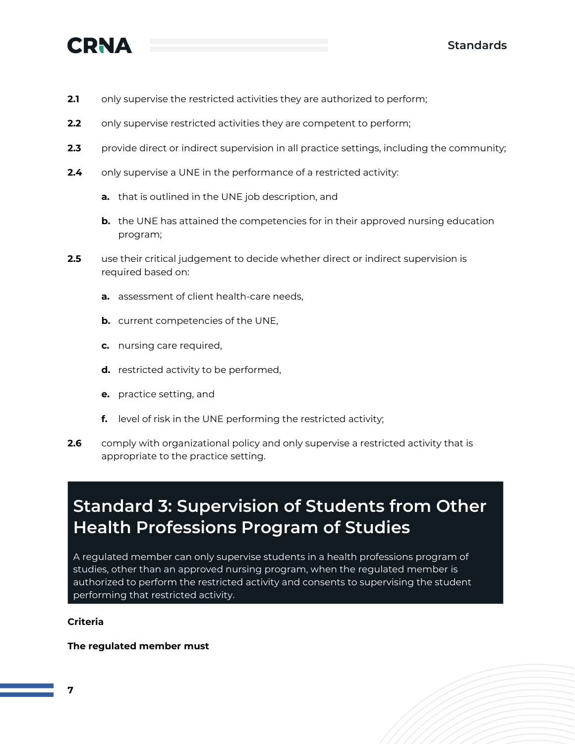

- **2.1** only supervise the restricted activities they are authorized to perform;
- **2.2** only supervise restricted activities they are competent to perform;
- **2.3** provide direct or indirect supervision in all practice settings, including the community;
- **2.4** only supervise a UNE in the performance of a restricted activity:
	- **a.** that is outlined in the UNE job description, and
	- **b.** the UNE has attained the competencies for in their approved nursing education program;
- **2.5** use their critical judgement to decide whether direct or indirect supervision is required based on:
	- **a.** assessment of client health-care needs,
	- **b.** current competencies of the UNE,
	- **c.** nursing care required,
	- **d.** restricted activity to be performed,
	- **e.** practice setting, and
	- **f.** level of risk in the UNE performing the restricted activity;
- **2.6** comply with organizational policy and only supervise a restricted activity that is appropriate to the practice setting.

## <span id="page-7-0"></span>**Standard 3: Supervision of Students from Other Health Professions Program of Studies**

A regulated member can only supervise students in a health professions program of studies, other than an approved nursing program, when the regulated member is authorized to perform the restricted activity and consents to supervising the student performing that restricted activity.

### **Criteria**

### **The regulated member must**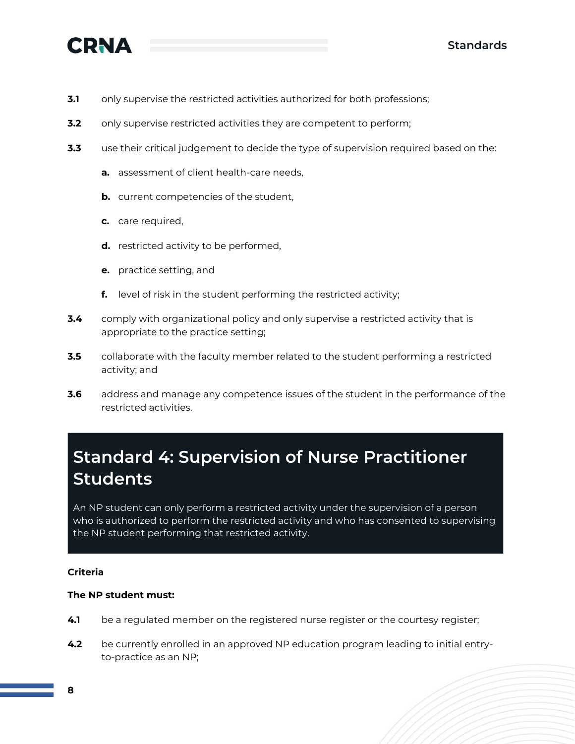

- **3.1** only supervise the restricted activities authorized for both professions;
- **3.2** only supervise restricted activities they are competent to perform;
- **3.3** use their critical judgement to decide the type of supervision required based on the:
	- **a.** assessment of client health-care needs,
	- **b.** current competencies of the student,
	- **c.** care required,
	- **d.** restricted activity to be performed,
	- **e.** practice setting, and
	- **f.** level of risk in the student performing the restricted activity;
- **3.4** comply with organizational policy and only supervise a restricted activity that is appropriate to the practice setting;
- **3.5** collaborate with the faculty member related to the student performing a restricted activity; and
- **3.6** address and manage any competence issues of the student in the performance of the restricted activities.

# <span id="page-8-0"></span>**Standard 4: Supervision of Nurse Practitioner Students**

An NP student can only perform a restricted activity under the supervision of a person who is authorized to perform the restricted activity and who has consented to supervising the NP student performing that restricted activity.

#### **Criteria**

#### **The NP student must:**

- **4.1** be a regulated member on the registered nurse register or the courtesy register;
- **4.2** be currently enrolled in an approved NP education program leading to initial entryto-practice as an NP;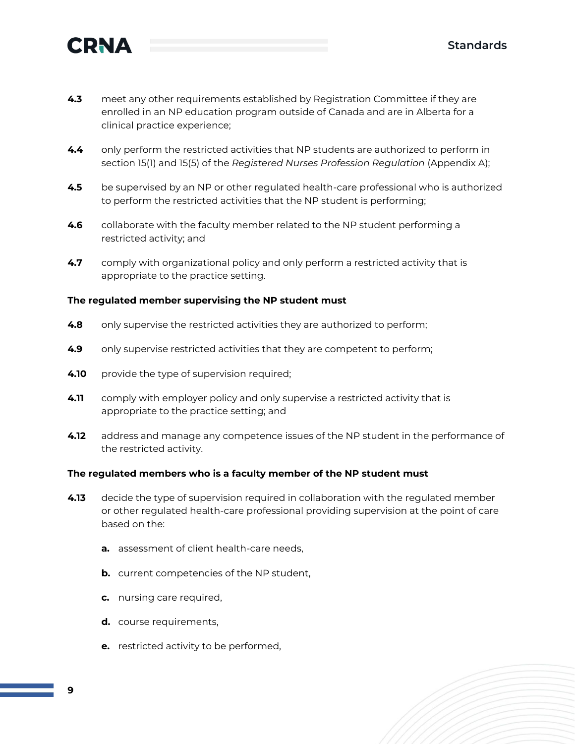

- **4.3** meet any other requirements established by Registration Committee if they are enrolled in an NP education program outside of Canada and are in Alberta for a clinical practice experience;
- **4.4** only perform the restricted activities that NP students are authorized to perform in section 15(1) and 15(5) of the *Registered Nurses Profession Regulation* (Appendix A);
- **4.5** be supervised by an NP or other regulated health-care professional who is authorized to perform the restricted activities that the NP student is performing;
- **4.6** collaborate with the faculty member related to the NP student performing a restricted activity; and
- **4.7** comply with organizational policy and only perform a restricted activity that is appropriate to the practice setting.

### **The regulated member supervising the NP student must**

- **4.8** only supervise the restricted activities they are authorized to perform;
- **4.9** only supervise restricted activities that they are competent to perform;
- **4.10** provide the type of supervision required;
- **4.11** comply with employer policy and only supervise a restricted activity that is appropriate to the practice setting; and
- **4.12** address and manage any competence issues of the NP student in the performance of the restricted activity.

#### **The regulated members who is a faculty member of the NP student must**

- **4.13** decide the type of supervision required in collaboration with the regulated member or other regulated health-care professional providing supervision at the point of care based on the:
	- **a.** assessment of client health-care needs,
	- **b.** current competencies of the NP student,
	- **c.** nursing care required,
	- **d.** course requirements,
	- **e.** restricted activity to be performed,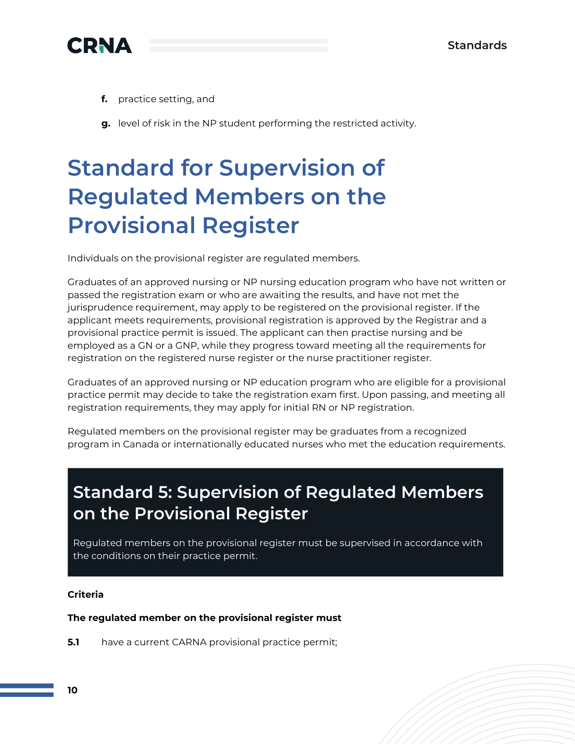

- **f.** practice setting, and
- **g.** level of risk in the NP student performing the restricted activity.

# <span id="page-10-0"></span>**Standard for Supervision of Regulated Members on the Provisional Register**

Individuals on the provisional register are regulated members.

Graduates of an approved nursing or NP nursing education program who have not written or passed the registration exam or who are awaiting the results, and have not met the jurisprudence requirement, may apply to be registered on the provisional register. If the applicant meets requirements, provisional registration is approved by the Registrar and a provisional practice permit is issued. The applicant can then practise nursing and be employed as a GN or a GNP, while they progress toward meeting all the requirements for registration on the registered nurse register or the nurse practitioner register.

Graduates of an approved nursing or NP education program who are eligible for a provisional practice permit may decide to take the registration exam first. Upon passing, and meeting all registration requirements, they may apply for initial RN or NP registration.

Regulated members on the provisional register may be graduates from a recognized program in Canada or internationally educated nurses who met the education requirements.

# <span id="page-10-1"></span>**Standard 5: Supervision of Regulated Members on the Provisional Register**

Regulated members on the provisional register must be supervised in accordance with the conditions on their practice permit.

### **Criteria**

### **The regulated member on the provisional register must**

**5.1** have a current CARNA provisional practice permit;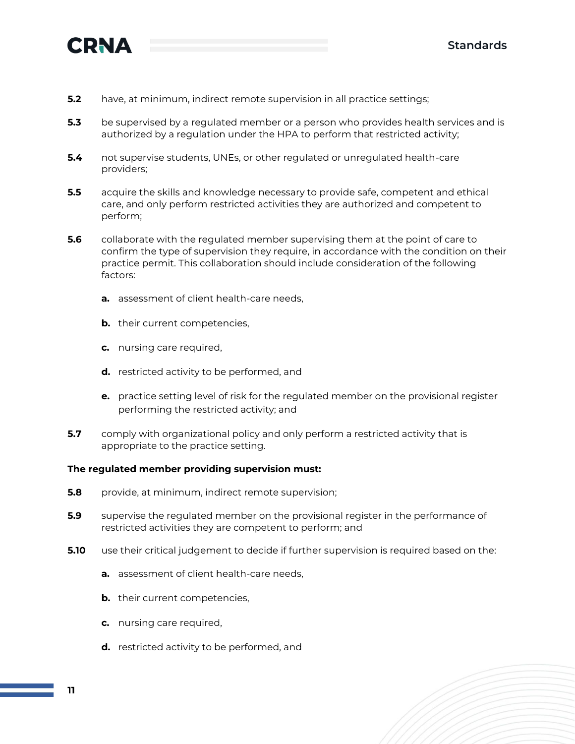

- **5.2** have, at minimum, indirect remote supervision in all practice settings;
- **5.3** be supervised by a regulated member or a person who provides health services and is authorized by a regulation under the HPA to perform that restricted activity;
- **5.4** not supervise students, UNEs, or other regulated or unregulated health-care providers;
- **5.5** acquire the skills and knowledge necessary to provide safe, competent and ethical care, and only perform restricted activities they are authorized and competent to perform;
- **5.6** collaborate with the regulated member supervising them at the point of care to confirm the type of supervision they require, in accordance with the condition on their practice permit. This collaboration should include consideration of the following factors:
	- **a.** assessment of client health-care needs,
	- **b.** their current competencies,
	- **c.** nursing care required,
	- **d.** restricted activity to be performed, and
	- **e.** practice setting level of risk for the regulated member on the provisional register performing the restricted activity; and
- **5.7** comply with organizational policy and only perform a restricted activity that is appropriate to the practice setting.

#### **The regulated member providing supervision must:**

- **5.8** provide, at minimum, indirect remote supervision;
- **5.9** supervise the regulated member on the provisional register in the performance of restricted activities they are competent to perform; and
- **5.10** use their critical judgement to decide if further supervision is required based on the:
	- **a.** assessment of client health-care needs,
	- **b.** their current competencies,
	- **c.** nursing care required,
	- **d.** restricted activity to be performed, and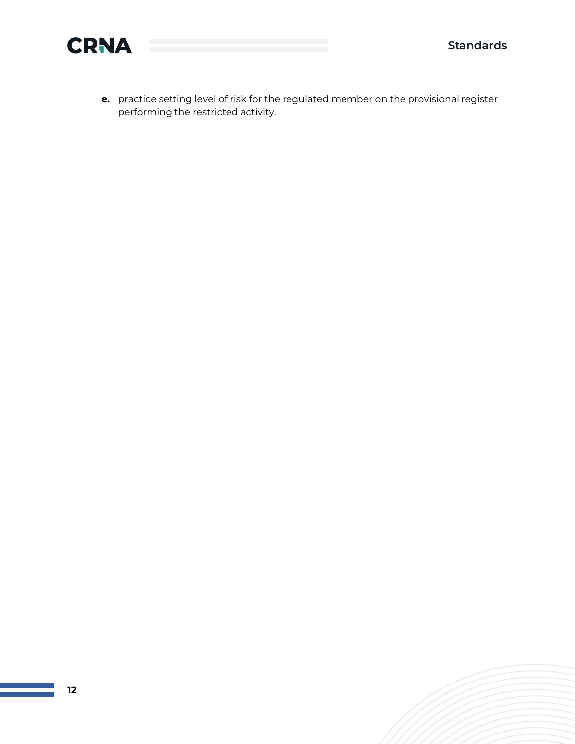

**e.** practice setting level of risk for the regulated member on the provisional register performing the restricted activity.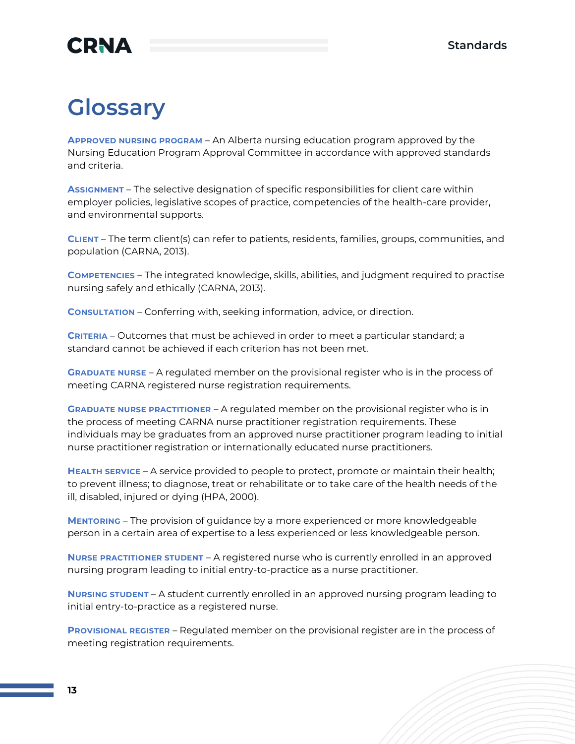# **CRNA**

# <span id="page-13-0"></span>**Glossary**

**APPROVED NURSING PROGRAM** – An Alberta nursing education program approved by the Nursing Education Program Approval Committee in accordance with approved standards and criteria.

**ASSIGNMENT** – The selective designation of specific responsibilities for client care within employer policies, legislative scopes of practice, competencies of the health-care provider, and environmental supports.

**CLIENT** – The term client(s) can refer to patients, residents, families, groups, communities, and population (CARNA, 2013).

**COMPETENCIES** – The integrated knowledge, skills, abilities, and judgment required to practise nursing safely and ethically (CARNA, 2013).

**CONSULTATION** – Conferring with, seeking information, advice, or direction.

**CRITERIA** – Outcomes that must be achieved in order to meet a particular standard; a standard cannot be achieved if each criterion has not been met.

**GRADUATE NURSE** – A regulated member on the provisional register who is in the process of meeting CARNA registered nurse registration requirements.

**GRADUATE NURSE PRACTITIONER** – A regulated member on the provisional register who is in the process of meeting CARNA nurse practitioner registration requirements. These individuals may be graduates from an approved nurse practitioner program leading to initial nurse practitioner registration or internationally educated nurse practitioners.

**HEALTH SERVICE** – A service provided to people to protect, promote or maintain their health; to prevent illness; to diagnose, treat or rehabilitate or to take care of the health needs of the ill, disabled, injured or dying (HPA, 2000).

**MENTORING** – The provision of guidance by a more experienced or more knowledgeable person in a certain area of expertise to a less experienced or less knowledgeable person.

**NURSE PRACTITIONER STUDENT** – A registered nurse who is currently enrolled in an approved nursing program leading to initial entry-to-practice as a nurse practitioner.

**NURSING STUDENT** – A student currently enrolled in an approved nursing program leading to initial entry-to-practice as a registered nurse.

**PROVISIONAL REGISTER** – Regulated member on the provisional register are in the process of meeting registration requirements.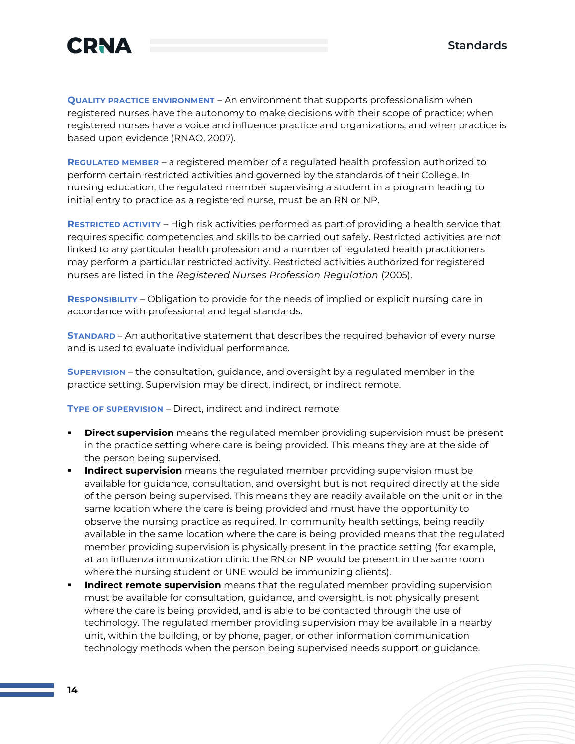



**QUALITY PRACTICE ENVIRONMENT** – An environment that supports professionalism when registered nurses have the autonomy to make decisions with their scope of practice; when registered nurses have a voice and influence practice and organizations; and when practice is based upon evidence (RNAO, 2007).

**REGULATED MEMBER** – a registered member of a regulated health profession authorized to perform certain restricted activities and governed by the standards of their College. In nursing education, the regulated member supervising a student in a program leading to initial entry to practice as a registered nurse, must be an RN or NP.

**RESTRICTED ACTIVITY** – High risk activities performed as part of providing a health service that requires specific competencies and skills to be carried out safely. Restricted activities are not linked to any particular health profession and a number of regulated health practitioners may perform a particular restricted activity. Restricted activities authorized for registered nurses are listed in the *Registered Nurses Profession Regulation* (2005).

**RESPONSIBILITY** – Obligation to provide for the needs of implied or explicit nursing care in accordance with professional and legal standards.

**STANDARD** – An authoritative statement that describes the required behavior of every nurse and is used to evaluate individual performance.

**SUPERVISION** – the consultation, guidance, and oversight by a regulated member in the practice setting. Supervision may be direct, indirect, or indirect remote.

**TYPE OF SUPERVISION** – Direct, indirect and indirect remote

- **Direct supervision** means the regulated member providing supervision must be present in the practice setting where care is being provided. This means they are at the side of the person being supervised.
- **Indirect supervision** means the regulated member providing supervision must be available for guidance, consultation, and oversight but is not required directly at the side of the person being supervised. This means they are readily available on the unit or in the same location where the care is being provided and must have the opportunity to observe the nursing practice as required. In community health settings, being readily available in the same location where the care is being provided means that the regulated member providing supervision is physically present in the practice setting (for example, at an influenza immunization clinic the RN or NP would be present in the same room where the nursing student or UNE would be immunizing clients).
- **Indirect remote supervision** means that the regulated member providing supervision must be available for consultation, guidance, and oversight, is not physically present where the care is being provided, and is able to be contacted through the use of technology. The regulated member providing supervision may be available in a nearby unit, within the building, or by phone, pager, or other information communication technology methods when the person being supervised needs support or guidance.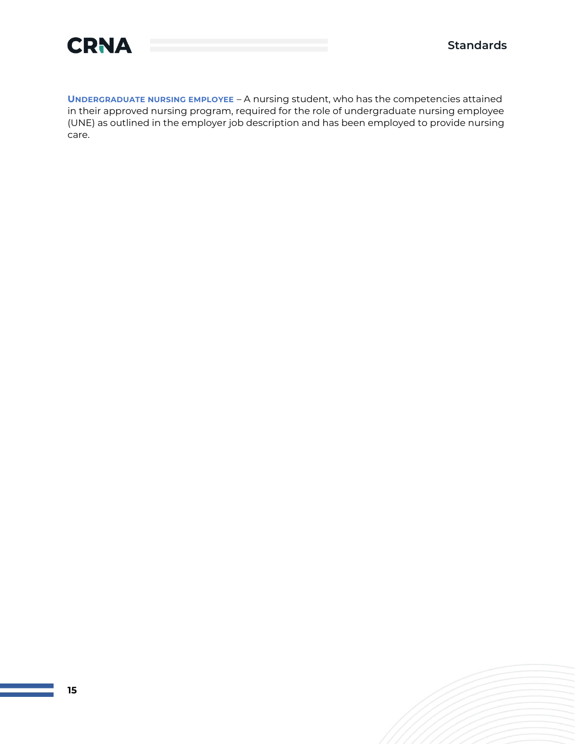



**UNDERGRADUATE NURSING EMPLOYEE** – A nursing student, who has the competencies attained in their approved nursing program, required for the role of undergraduate nursing employee (UNE) as outlined in the employer job description and has been employed to provide nursing care.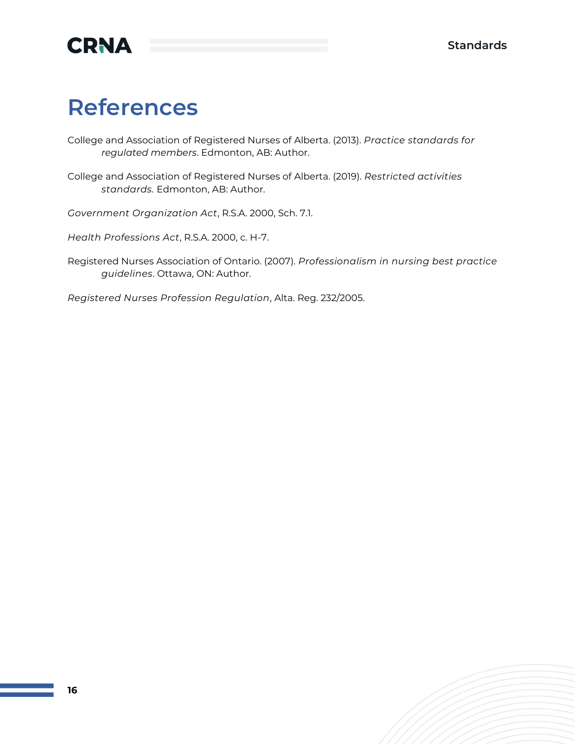

# <span id="page-16-0"></span>**References**

College and Association of Registered Nurses of Alberta. (2013). *Practice standards for regulated members*. Edmonton, AB: Author.

College and Association of Registered Nurses of Alberta. (2019). *Restricted activities standards.* Edmonton, AB: Author.

*Government Organization Act*, R.S.A. 2000, Sch. 7.1.

*Health Professions Act*, R.S.A. 2000, c. H-7.

Registered Nurses Association of Ontario. (2007). *Professionalism in nursing best practice guidelines*. Ottawa, ON: Author.

*Registered Nurses Profession Regulation*, Alta. Reg. 232/2005.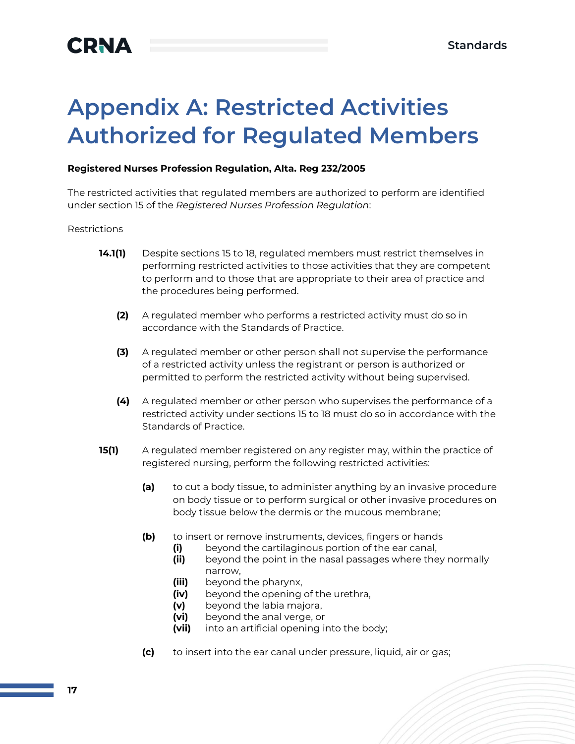# <span id="page-17-0"></span>**Appendix A: Restricted Activities Authorized for Regulated Members**

### **Registered Nurses Profession Regulation, Alta. Reg 232/2005**

The restricted activities that regulated members are authorized to perform are identified under section 15 of the *Registered Nurses Profession Regulation*:

#### Restrictions

- **14.1(1)** Despite sections 15 to 18, regulated members must restrict themselves in performing restricted activities to those activities that they are competent to perform and to those that are appropriate to their area of practice and the procedures being performed.
	- **(2)** A regulated member who performs a restricted activity must do so in accordance with the Standards of Practice.
	- **(3)** A regulated member or other person shall not supervise the performance of a restricted activity unless the registrant or person is authorized or permitted to perform the restricted activity without being supervised.
	- **(4)** A regulated member or other person who supervises the performance of a restricted activity under sections 15 to 18 must do so in accordance with the Standards of Practice.
- **15(1)** A regulated member registered on any register may, within the practice of registered nursing, perform the following restricted activities:
	- **(a)** to cut a body tissue, to administer anything by an invasive procedure on body tissue or to perform surgical or other invasive procedures on body tissue below the dermis or the mucous membrane;
	- **(b)** to insert or remove instruments, devices, fingers or hands
		- **(i)** beyond the cartilaginous portion of the ear canal,
		- **(ii)** beyond the point in the nasal passages where they normally narrow,
		- **(iii)** beyond the pharynx,
		- **(iv)** beyond the opening of the urethra,
		- **(v)** beyond the labia majora,
		- **(vi)** beyond the anal verge, or
		- **(vii)** into an artificial opening into the body;
	- **(c)** to insert into the ear canal under pressure, liquid, air or gas;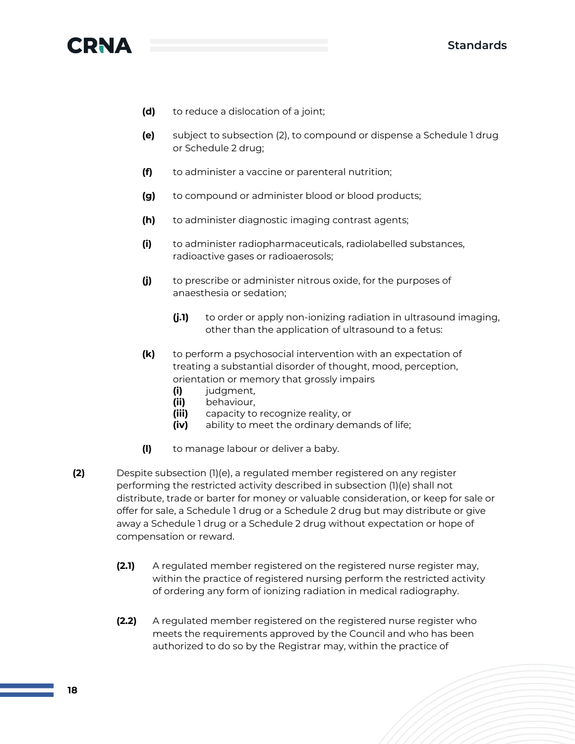

- **(d)** to reduce a dislocation of a joint;
- **(e)** subject to subsection (2), to compound or dispense a Schedule 1 drug or Schedule 2 drug;
- **(f)** to administer a vaccine or parenteral nutrition;
- **(g)** to compound or administer blood or blood products;
- **(h)** to administer diagnostic imaging contrast agents;
- **(i)** to administer radiopharmaceuticals, radiolabelled substances, radioactive gases or radioaerosols;
- **(j)** to prescribe or administer nitrous oxide, for the purposes of anaesthesia or sedation;
	- **(j.1)** to order or apply non-ionizing radiation in ultrasound imaging, other than the application of ultrasound to a fetus:
- **(k)** to perform a psychosocial intervention with an expectation of treating a substantial disorder of thought, mood, perception, orientation or memory that grossly impairs
	- **(i)** judgment,
	- **(ii)** behaviour,
	- **(iii)** capacity to recognize reality, or
	- **(iv)** ability to meet the ordinary demands of life;
- **(l)** to manage labour or deliver a baby.
- **(2)** Despite subsection (1)(e), a regulated member registered on any register performing the restricted activity described in subsection (1)(e) shall not distribute, trade or barter for money or valuable consideration, or keep for sale or offer for sale, a Schedule 1 drug or a Schedule 2 drug but may distribute or give away a Schedule 1 drug or a Schedule 2 drug without expectation or hope of compensation or reward.
	- **(2.1)** A regulated member registered on the registered nurse register may, within the practice of registered nursing perform the restricted activity of ordering any form of ionizing radiation in medical radiography.
	- **(2.2)** A regulated member registered on the registered nurse register who meets the requirements approved by the Council and who has been authorized to do so by the Registrar may, within the practice of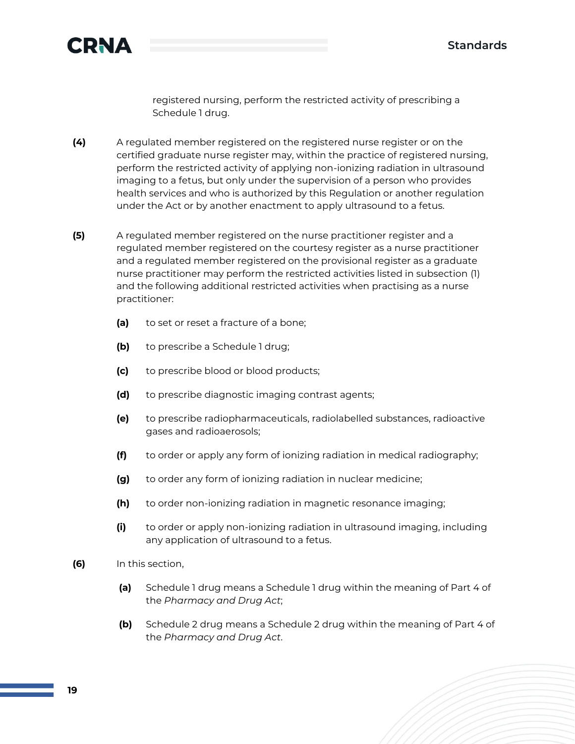

registered nursing, perform the restricted activity of prescribing a Schedule 1 drug.

- **(4)** A regulated member registered on the registered nurse register or on the certified graduate nurse register may, within the practice of registered nursing, perform the restricted activity of applying non-ionizing radiation in ultrasound imaging to a fetus, but only under the supervision of a person who provides health services and who is authorized by this Regulation or another regulation under the Act or by another enactment to apply ultrasound to a fetus.
- **(5)** A regulated member registered on the nurse practitioner register and a regulated member registered on the courtesy register as a nurse practitioner and a regulated member registered on the provisional register as a graduate nurse practitioner may perform the restricted activities listed in subsection (1) and the following additional restricted activities when practising as a nurse practitioner:
	- **(a)** to set or reset a fracture of a bone;
	- **(b)** to prescribe a Schedule 1 drug;
	- **(c)** to prescribe blood or blood products;
	- **(d)** to prescribe diagnostic imaging contrast agents;
	- **(e)** to prescribe radiopharmaceuticals, radiolabelled substances, radioactive gases and radioaerosols;
	- **(f)** to order or apply any form of ionizing radiation in medical radiography;
	- **(g)** to order any form of ionizing radiation in nuclear medicine;
	- **(h)** to order non-ionizing radiation in magnetic resonance imaging;
	- **(i)** to order or apply non-ionizing radiation in ultrasound imaging, including any application of ultrasound to a fetus.
- **(6)** In this section,
	- **(a)** Schedule 1 drug means a Schedule 1 drug within the meaning of Part 4 of the *Pharmacy and Drug Act*;
	- **(b)** Schedule 2 drug means a Schedule 2 drug within the meaning of Part 4 of the *Pharmacy and Drug Act*.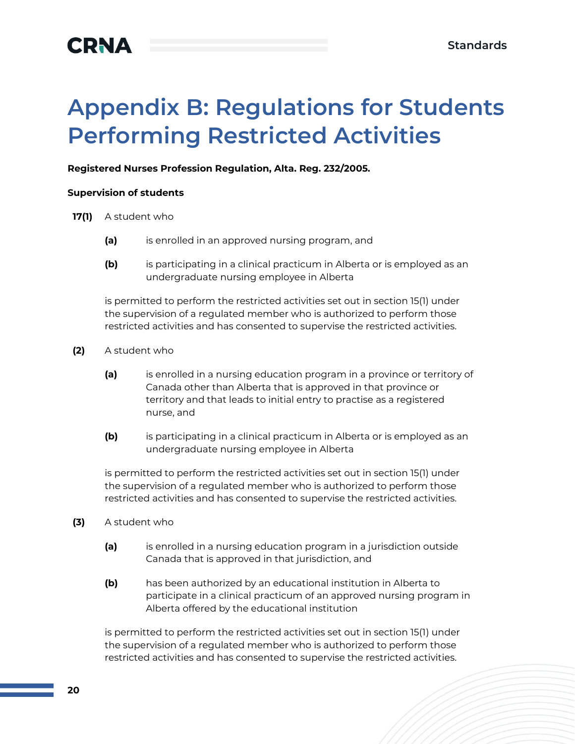# <span id="page-20-0"></span>**Appendix B: Regulations for Students Performing Restricted Activities**

### **Registered Nurses Profession Regulation, Alta. Reg. 232/2005.**

#### **Supervision of students**

- **17(1)** A student who
	- **(a)** is enrolled in an approved nursing program, and
	- **(b)** is participating in a clinical practicum in Alberta or is employed as an undergraduate nursing employee in Alberta

is permitted to perform the restricted activities set out in section 15(1) under the supervision of a regulated member who is authorized to perform those restricted activities and has consented to supervise the restricted activities.

- **(2)** A student who
	- **(a)** is enrolled in a nursing education program in a province or territory of Canada other than Alberta that is approved in that province or territory and that leads to initial entry to practise as a registered nurse, and
	- **(b)** is participating in a clinical practicum in Alberta or is employed as an undergraduate nursing employee in Alberta

is permitted to perform the restricted activities set out in section 15(1) under the supervision of a regulated member who is authorized to perform those restricted activities and has consented to supervise the restricted activities.

- **(3)** A student who
	- **(a)** is enrolled in a nursing education program in a jurisdiction outside Canada that is approved in that jurisdiction, and
	- **(b)** has been authorized by an educational institution in Alberta to participate in a clinical practicum of an approved nursing program in Alberta offered by the educational institution

is permitted to perform the restricted activities set out in section 15(1) under the supervision of a regulated member who is authorized to perform those restricted activities and has consented to supervise the restricted activities.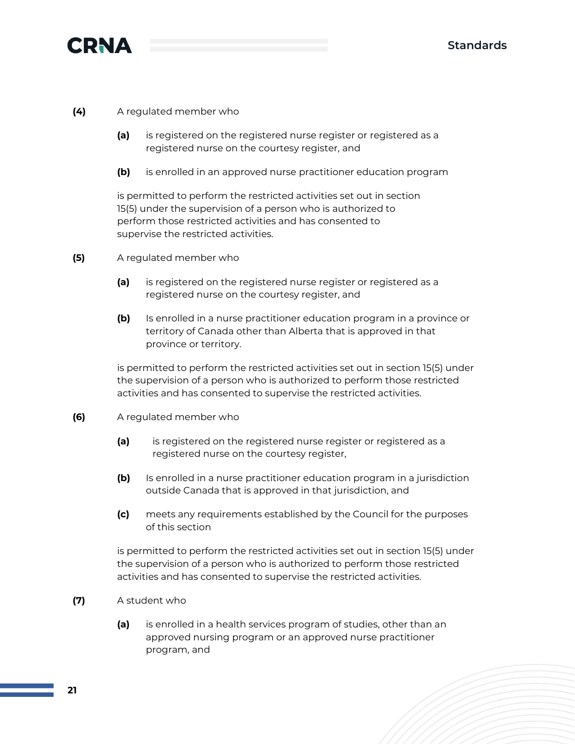

### **(4)** A regulated member who

- **(a)** is registered on the registered nurse register or registered as a registered nurse on the courtesy register, and
- **(b)** is enrolled in an approved nurse practitioner education program

is permitted to perform the restricted activities set out in section 15(5) under the supervision of a person who is authorized to perform those restricted activities and has consented to supervise the restricted activities.

- **(5)** A regulated member who
	- **(a)** is registered on the registered nurse register or registered as a registered nurse on the courtesy register, and
	- **(b)** Is enrolled in a nurse practitioner education program in a province or territory of Canada other than Alberta that is approved in that province or territory.

is permitted to perform the restricted activities set out in section 15(5) under the supervision of a person who is authorized to perform those restricted activities and has consented to supervise the restricted activities.

- **(6)** A regulated member who
	- **(a)** is registered on the registered nurse register or registered as a registered nurse on the courtesy register,
	- **(b)** Is enrolled in a nurse practitioner education program in a jurisdiction outside Canada that is approved in that jurisdiction, and
	- **(c)** meets any requirements established by the Council for the purposes of this section

is permitted to perform the restricted activities set out in section 15(5) under the supervision of a person who is authorized to perform those restricted activities and has consented to supervise the restricted activities.

- **(7)** A student who
	- **(a)** is enrolled in a health services program of studies, other than an approved nursing program or an approved nurse practitioner program, and

**21**